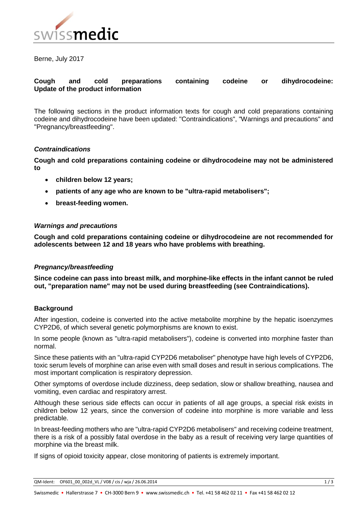

Berne, July 2017

# **Cough and cold preparations containing codeine or dihydrocodeine: Update of the product information**

The following sections in the product information texts for cough and cold preparations containing codeine and dihydrocodeine have been updated: "Contraindications", "Warnings and precautions" and "Pregnancy/breastfeeding".

## *Contraindications*

**Cough and cold preparations containing codeine or dihydrocodeine may not be administered to**

- **children below 12 years;**
- **patients of any age who are known to be "ultra-rapid metabolisers";**
- **breast-feeding women.**

## *Warnings and precautions*

**Cough and cold preparations containing codeine or dihydrocodeine are not recommended for adolescents between 12 and 18 years who have problems with breathing.** 

#### *Pregnancy/breastfeeding*

**Since codeine can pass into breast milk, and morphine-like effects in the infant cannot be ruled out, "preparation name" may not be used during breastfeeding (see Contraindications).**

#### **Background**

After ingestion, codeine is converted into the active metabolite morphine by the hepatic isoenzymes CYP2D6, of which several genetic polymorphisms are known to exist.

In some people (known as "ultra-rapid metabolisers"), codeine is converted into morphine faster than normal.

Since these patients with an "ultra-rapid CYP2D6 metaboliser" phenotype have high levels of CYP2D6, toxic serum levels of morphine can arise even with small doses and result in serious complications. The most important complication is respiratory depression.

Other symptoms of overdose include dizziness, deep sedation, slow or shallow breathing, nausea and vomiting, even cardiac and respiratory arrest.

Although these serious side effects can occur in patients of all age groups, a special risk exists in children below 12 years, since the conversion of codeine into morphine is more variable and less predictable.

In breast-feeding mothers who are "ultra-rapid CYP2D6 metabolisers" and receiving codeine treatment, there is a risk of a possibly fatal overdose in the baby as a result of receiving very large quantities of morphine via the breast milk.

If signs of opioid toxicity appear, close monitoring of patients is extremely important.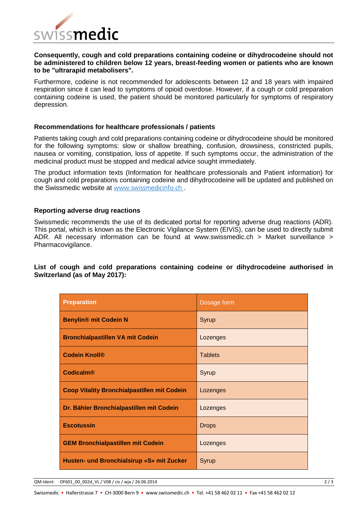

### **Consequently, cough and cold preparations containing codeine or dihydrocodeine should not be administered to children below 12 years, breast-feeding women or patients who are known to be "ultrarapid metabolisers".**

Furthermore, codeine is not recommended for adolescents between 12 and 18 years with impaired respiration since it can lead to symptoms of opioid overdose. However, if a cough or cold preparation containing codeine is used, the patient should be monitored particularly for symptoms of respiratory depression.

#### **Recommendations for healthcare professionals / patients**

Patients taking cough and cold preparations containing codeine or dihydrocodeine should be monitored for the following symptoms: slow or shallow breathing, confusion, drowsiness, constricted pupils, nausea or vomiting, constipation, loss of appetite. If such symptoms occur, the administration of the medicinal product must be stopped and medical advice sought immediately.

The product information texts (Information for healthcare professionals and Patient information) for cough and cold preparations containing codeine and dihydrocodeine will be updated and published on the Swissmedic website at [www.swissmedicinfo.ch](http://www.swissmedicinfo.ch/) .

#### **Reporting adverse drug reactions**

Swissmedic recommends the use of its dedicated portal for reporting adverse drug reactions (ADR). This portal, which is known as the Electronic Vigilance System (EIViS), can be used to directly submit ADR. All necessary information can be found at www.swissmedic.ch > Market surveillance > Pharmacovigilance.

## **List of cough and cold preparations containing codeine or dihydrocodeine authorised in Switzerland (as of May 2017):**

| <b>Preparation</b>                                 | Dosage form    |
|----------------------------------------------------|----------------|
| <b>Benylin® mit Codein N</b>                       | Syrup          |
| <b>Bronchialpastillen VA mit Codein</b>            | Lozenges       |
| <b>Codein Knoll®</b>                               | <b>Tablets</b> |
| <b>Codicalm®</b>                                   | Syrup          |
| <b>Coop Vitality Bronchialpastillen mit Codein</b> | Lozenges       |
| Dr. Bähler Bronchialpastillen mit Codein           | Lozenges       |
| <b>Escotussin</b>                                  | <b>Drops</b>   |
| <b>GEM Bronchialpastillen mit Codein</b>           | Lozenges       |
| Husten- und Bronchialsirup «S» mit Zucker          | Syrup          |

QM-Ident: OF601\_00\_002d\_VL / V08 / cis / wja / 26.06.2014 2 / 3